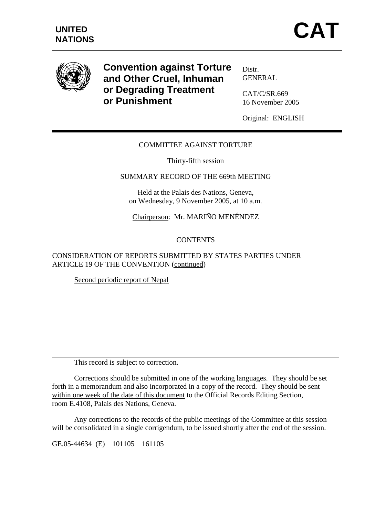

**Convention against Torture and Other Cruel, Inhuman or Degrading Treatment or Punishment** 

Distr. GENERAL

CAT/C/SR.669 16 November 2005

Original: ENGLISH

# COMMITTEE AGAINST TORTURE

Thirty-fifth session

#### SUMMARY RECORD OF THE 669th MEETING

Held at the Palais des Nations, Geneva, on Wednesday, 9 November 2005, at 10 a.m.

Chairperson: Mr. MARIÑO MENÉNDEZ

### **CONTENTS**

# CONSIDERATION OF REPORTS SUBMITTED BY STATES PARTIES UNDER ARTICLE 19 OF THE CONVENTION (continued)

Second periodic report of Nepal

This record is subject to correction.

 Corrections should be submitted in one of the working languages. They should be set forth in a memorandum and also incorporated in a copy of the record. They should be sent within one week of the date of this document to the Official Records Editing Section, room E.4108, Palais des Nations, Geneva.

 Any corrections to the records of the public meetings of the Committee at this session will be consolidated in a single corrigendum, to be issued shortly after the end of the session.

GE.05-44634 (E) 101105 161105

 $\overline{a}$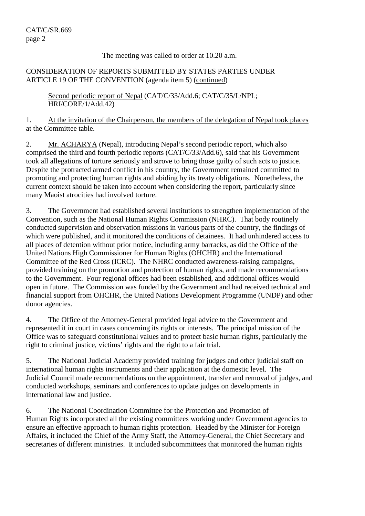#### The meeting was called to order at 10.20 a.m.

### CONSIDERATION OF REPORTS SUBMITTED BY STATES PARTIES UNDER ARTICLE 19 OF THE CONVENTION (agenda item 5) (continued)

Second periodic report of Nepal (CAT/C/33/Add.6; CAT/C/35/L/NPL; HRI/CORE/1/Add.42)

1. At the invitation of the Chairperson, the members of the delegation of Nepal took places at the Committee table.

2. Mr. ACHARYA (Nepal), introducing Nepal's second periodic report, which also comprised the third and fourth periodic reports (CAT/C/33/Add.6), said that his Government took all allegations of torture seriously and strove to bring those guilty of such acts to justice. Despite the protracted armed conflict in his country, the Government remained committed to promoting and protecting human rights and abiding by its treaty obligations. Nonetheless, the current context should be taken into account when considering the report, particularly since many Maoist atrocities had involved torture.

3. The Government had established several institutions to strengthen implementation of the Convention, such as the National Human Rights Commission (NHRC). That body routinely conducted supervision and observation missions in various parts of the country, the findings of which were published, and it monitored the conditions of detainees. It had unhindered access to all places of detention without prior notice, including army barracks, as did the Office of the United Nations High Commissioner for Human Rights (OHCHR) and the International Committee of the Red Cross (ICRC). The NHRC conducted awareness-raising campaigns, provided training on the promotion and protection of human rights, and made recommendations to the Government. Four regional offices had been established, and additional offices would open in future. The Commission was funded by the Government and had received technical and financial support from OHCHR, the United Nations Development Programme (UNDP) and other donor agencies.

4. The Office of the Attorney-General provided legal advice to the Government and represented it in court in cases concerning its rights or interests. The principal mission of the Office was to safeguard constitutional values and to protect basic human rights, particularly the right to criminal justice, victims' rights and the right to a fair trial.

5. The National Judicial Academy provided training for judges and other judicial staff on international human rights instruments and their application at the domestic level. The Judicial Council made recommendations on the appointment, transfer and removal of judges, and conducted workshops, seminars and conferences to update judges on developments in international law and justice.

6. The National Coordination Committee for the Protection and Promotion of Human Rights incorporated all the existing committees working under Government agencies to ensure an effective approach to human rights protection. Headed by the Minister for Foreign Affairs, it included the Chief of the Army Staff, the Attorney-General, the Chief Secretary and secretaries of different ministries. It included subcommittees that monitored the human rights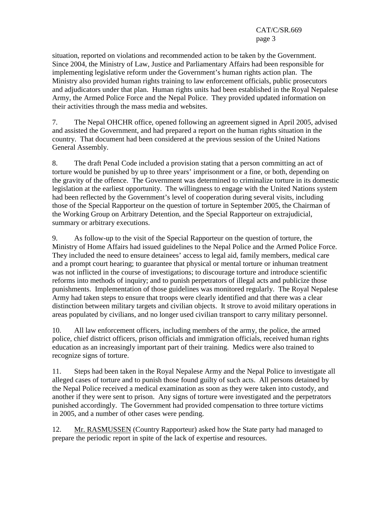situation, reported on violations and recommended action to be taken by the Government. Since 2004, the Ministry of Law, Justice and Parliamentary Affairs had been responsible for implementing legislative reform under the Government's human rights action plan. The Ministry also provided human rights training to law enforcement officials, public prosecutors and adjudicators under that plan. Human rights units had been established in the Royal Nepalese Army, the Armed Police Force and the Nepal Police. They provided updated information on their activities through the mass media and websites.

7. The Nepal OHCHR office, opened following an agreement signed in April 2005, advised and assisted the Government, and had prepared a report on the human rights situation in the country. That document had been considered at the previous session of the United Nations General Assembly.

8. The draft Penal Code included a provision stating that a person committing an act of torture would be punished by up to three years' imprisonment or a fine, or both, depending on the gravity of the offence. The Government was determined to criminalize torture in its domestic legislation at the earliest opportunity. The willingness to engage with the United Nations system had been reflected by the Government's level of cooperation during several visits, including those of the Special Rapporteur on the question of torture in September 2005, the Chairman of the Working Group on Arbitrary Detention, and the Special Rapporteur on extrajudicial, summary or arbitrary executions.

9. As follow-up to the visit of the Special Rapporteur on the question of torture, the Ministry of Home Affairs had issued guidelines to the Nepal Police and the Armed Police Force. They included the need to ensure detainees' access to legal aid, family members, medical care and a prompt court hearing; to guarantee that physical or mental torture or inhuman treatment was not inflicted in the course of investigations; to discourage torture and introduce scientific reforms into methods of inquiry; and to punish perpetrators of illegal acts and publicize those punishments. Implementation of those guidelines was monitored regularly. The Royal Nepalese Army had taken steps to ensure that troops were clearly identified and that there was a clear distinction between military targets and civilian objects. It strove to avoid military operations in areas populated by civilians, and no longer used civilian transport to carry military personnel.

10. All law enforcement officers, including members of the army, the police, the armed police, chief district officers, prison officials and immigration officials, received human rights education as an increasingly important part of their training. Medics were also trained to recognize signs of torture.

11. Steps had been taken in the Royal Nepalese Army and the Nepal Police to investigate all alleged cases of torture and to punish those found guilty of such acts. All persons detained by the Nepal Police received a medical examination as soon as they were taken into custody, and another if they were sent to prison. Any signs of torture were investigated and the perpetrators punished accordingly. The Government had provided compensation to three torture victims in 2005, and a number of other cases were pending.

12. Mr. RASMUSSEN (Country Rapporteur) asked how the State party had managed to prepare the periodic report in spite of the lack of expertise and resources.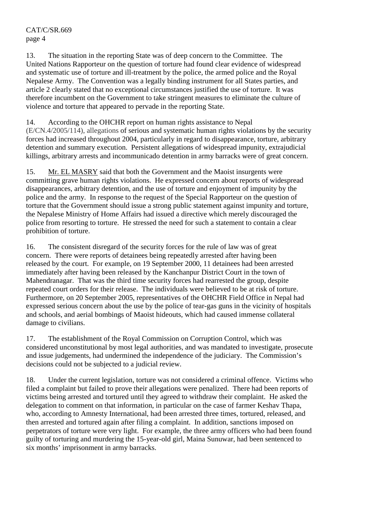13. The situation in the reporting State was of deep concern to the Committee. The United Nations Rapporteur on the question of torture had found clear evidence of widespread and systematic use of torture and ill-treatment by the police, the armed police and the Royal Nepalese Army. The Convention was a legally binding instrument for all States parties, and article 2 clearly stated that no exceptional circumstances justified the use of torture. It was therefore incumbent on the Government to take stringent measures to eliminate the culture of violence and torture that appeared to pervade in the reporting State.

14. According to the OHCHR report on human rights assistance to Nepal (E/CN.4/2005/114), allegations of serious and systematic human rights violations by the security forces had increased throughout 2004, particularly in regard to disappearance, torture, arbitrary detention and summary execution. Persistent allegations of widespread impunity, extrajudicial killings, arbitrary arrests and incommunicado detention in army barracks were of great concern.

15. Mr. EL MASRY said that both the Government and the Maoist insurgents were committing grave human rights violations. He expressed concern about reports of widespread disappearances, arbitrary detention, and the use of torture and enjoyment of impunity by the police and the army. In response to the request of the Special Rapporteur on the question of torture that the Government should issue a strong public statement against impunity and torture, the Nepalese Ministry of Home Affairs had issued a directive which merely discouraged the police from resorting to torture. He stressed the need for such a statement to contain a clear prohibition of torture.

16. The consistent disregard of the security forces for the rule of law was of great concern. There were reports of detainees being repeatedly arrested after having been released by the court. For example, on 19 September 2000, 11 detainees had been arrested immediately after having been released by the Kanchanpur District Court in the town of Mahendranagar. That was the third time security forces had rearrested the group, despite repeated court orders for their release. The individuals were believed to be at risk of torture. Furthermore, on 20 September 2005, representatives of the OHCHR Field Office in Nepal had expressed serious concern about the use by the police of tear-gas guns in the vicinity of hospitals and schools, and aerial bombings of Maoist hideouts, which had caused immense collateral damage to civilians.

17. The establishment of the Royal Commission on Corruption Control, which was considered unconstitutional by most legal authorities, and was mandated to investigate, prosecute and issue judgements, had undermined the independence of the judiciary. The Commission's decisions could not be subjected to a judicial review.

18. Under the current legislation, torture was not considered a criminal offence. Victims who filed a complaint but failed to prove their allegations were penalized. There had been reports of victims being arrested and tortured until they agreed to withdraw their complaint. He asked the delegation to comment on that information, in particular on the case of farmer Keshav Thapa, who, according to Amnesty International, had been arrested three times, tortured, released, and then arrested and tortured again after filing a complaint. In addition, sanctions imposed on perpetrators of torture were very light. For example, the three army officers who had been found guilty of torturing and murdering the 15-year-old girl, Maina Sunuwar, had been sentenced to six months' imprisonment in army barracks.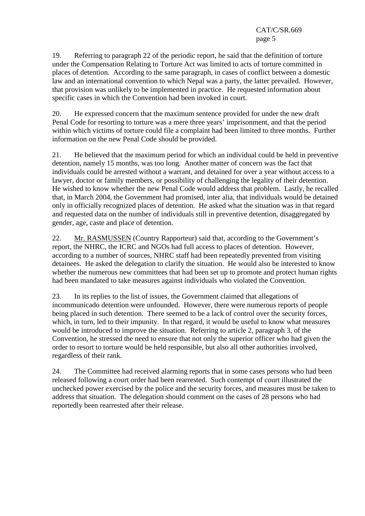19. Referring to paragraph 22 of the periodic report, he said that the definition of torture under the Compensation Relating to Torture Act was limited to acts of torture committed in places of detention. According to the same paragraph, in cases of conflict between a domestic law and an international convention to which Nepal was a party, the latter prevailed. However, that provision was unlikely to be implemented in practice. He requested information about specific cases in which the Convention had been invoked in court.

20. He expressed concern that the maximum sentence provided for under the new draft Penal Code for resorting to torture was a mere three years' imprisonment, and that the period within which victims of torture could file a complaint had been limited to three months. Further information on the new Penal Code should be provided.

21. He believed that the maximum period for which an individual could be held in preventive detention, namely 15 months, was too long. Another matter of concern was the fact that individuals could be arrested without a warrant, and detained for over a year without access to a lawyer, doctor or family members, or possibility of challenging the legality of their detention. He wished to know whether the new Penal Code would address that problem. Lastly, he recalled that, in March 2004, the Government had promised, inter alia, that individuals would be detained only in officially recognized places of detention. He asked what the situation was in that regard and requested data on the number of individuals still in preventive detention, disaggregated by gender, age, caste and place of detention.

22. Mr. RASMUSSEN (Country Rapporteur) said that, according to the Government's report, the NHRC, the ICRC and NGOs had full access to places of detention. However, according to a number of sources, NHRC staff had been repeatedly prevented from visiting detainees. He asked the delegation to clarify the situation. He would also be interested to know whether the numerous new committees that had been set up to promote and protect human rights had been mandated to take measures against individuals who violated the Convention.

23. In its replies to the list of issues, the Government claimed that allegations of incommunicado detention were unfounded. However, there were numerous reports of people being placed in such detention. There seemed to be a lack of control over the security forces, which, in turn, led to their impunity. In that regard, it would be useful to know what measures would be introduced to improve the situation. Referring to article 2, paragraph 3, of the Convention, he stressed the need to ensure that not only the superior officer who had given the order to resort to torture would be held responsible, but also all other authorities involved, regardless of their rank.

24. The Committee had received alarming reports that in some cases persons who had been released following a court order had been rearrested. Such contempt of court illustrated the unchecked power exercised by the police and the security forces, and measures must be taken to address that situation. The delegation should comment on the cases of 28 persons who had reportedly been rearrested after their release.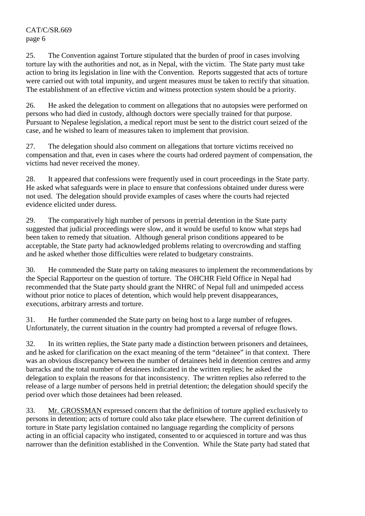25. The Convention against Torture stipulated that the burden of proof in cases involving torture lay with the authorities and not, as in Nepal, with the victim. The State party must take action to bring its legislation in line with the Convention. Reports suggested that acts of torture were carried out with total impunity, and urgent measures must be taken to rectify that situation. The establishment of an effective victim and witness protection system should be a priority.

26. He asked the delegation to comment on allegations that no autopsies were performed on persons who had died in custody, although doctors were specially trained for that purpose. Pursuant to Nepalese legislation, a medical report must be sent to the district court seized of the case, and he wished to learn of measures taken to implement that provision.

27. The delegation should also comment on allegations that torture victims received no compensation and that, even in cases where the courts had ordered payment of compensation, the victims had never received the money.

28. It appeared that confessions were frequently used in court proceedings in the State party. He asked what safeguards were in place to ensure that confessions obtained under duress were not used. The delegation should provide examples of cases where the courts had rejected evidence elicited under duress.

29. The comparatively high number of persons in pretrial detention in the State party suggested that judicial proceedings were slow, and it would be useful to know what steps had been taken to remedy that situation. Although general prison conditions appeared to be acceptable, the State party had acknowledged problems relating to overcrowding and staffing and he asked whether those difficulties were related to budgetary constraints.

30. He commended the State party on taking measures to implement the recommendations by the Special Rapporteur on the question of torture. The OHCHR Field Office in Nepal had recommended that the State party should grant the NHRC of Nepal full and unimpeded access without prior notice to places of detention, which would help prevent disappearances, executions, arbitrary arrests and torture.

31. He further commended the State party on being host to a large number of refugees. Unfortunately, the current situation in the country had prompted a reversal of refugee flows.

32. In its written replies, the State party made a distinction between prisoners and detainees, and he asked for clarification on the exact meaning of the term "detainee" in that context. There was an obvious discrepancy between the number of detainees held in detention centres and army barracks and the total number of detainees indicated in the written replies; he asked the delegation to explain the reasons for that inconsistency. The written replies also referred to the release of a large number of persons held in pretrial detention; the delegation should specify the period over which those detainees had been released.

33. Mr. GROSSMAN expressed concern that the definition of torture applied exclusively to persons in detention; acts of torture could also take place elsewhere. The current definition of torture in State party legislation contained no language regarding the complicity of persons acting in an official capacity who instigated, consented to or acquiesced in torture and was thus narrower than the definition established in the Convention. While the State party had stated that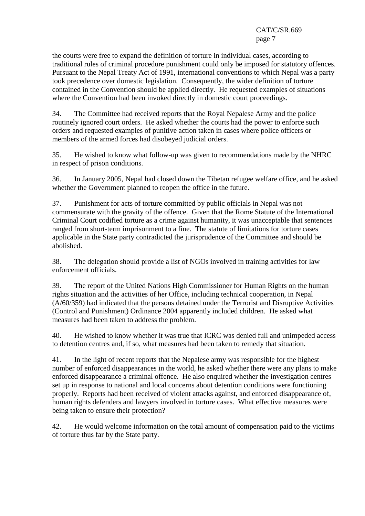the courts were free to expand the definition of torture in individual cases, according to traditional rules of criminal procedure punishment could only be imposed for statutory offences. Pursuant to the Nepal Treaty Act of 1991, international conventions to which Nepal was a party took precedence over domestic legislation. Consequently, the wider definition of torture contained in the Convention should be applied directly. He requested examples of situations where the Convention had been invoked directly in domestic court proceedings.

34. The Committee had received reports that the Royal Nepalese Army and the police routinely ignored court orders. He asked whether the courts had the power to enforce such orders and requested examples of punitive action taken in cases where police officers or members of the armed forces had disobeyed judicial orders.

35. He wished to know what follow-up was given to recommendations made by the NHRC in respect of prison conditions.

36. In January 2005, Nepal had closed down the Tibetan refugee welfare office, and he asked whether the Government planned to reopen the office in the future.

37. Punishment for acts of torture committed by public officials in Nepal was not commensurate with the gravity of the offence. Given that the Rome Statute of the International Criminal Court codified torture as a crime against humanity, it was unacceptable that sentences ranged from short-term imprisonment to a fine. The statute of limitations for torture cases applicable in the State party contradicted the jurisprudence of the Committee and should be abolished.

38. The delegation should provide a list of NGOs involved in training activities for law enforcement officials.

39. The report of the United Nations High Commissioner for Human Rights on the human rights situation and the activities of her Office, including technical cooperation, in Nepal (A/60/359) had indicated that the persons detained under the Terrorist and Disruptive Activities (Control and Punishment) Ordinance 2004 apparently included children. He asked what measures had been taken to address the problem.

40. He wished to know whether it was true that ICRC was denied full and unimpeded access to detention centres and, if so, what measures had been taken to remedy that situation.

41. In the light of recent reports that the Nepalese army was responsible for the highest number of enforced disappearances in the world, he asked whether there were any plans to make enforced disappearance a criminal offence. He also enquired whether the investigation centres set up in response to national and local concerns about detention conditions were functioning properly. Reports had been received of violent attacks against, and enforced disappearance of, human rights defenders and lawyers involved in torture cases. What effective measures were being taken to ensure their protection?

42. He would welcome information on the total amount of compensation paid to the victims of torture thus far by the State party.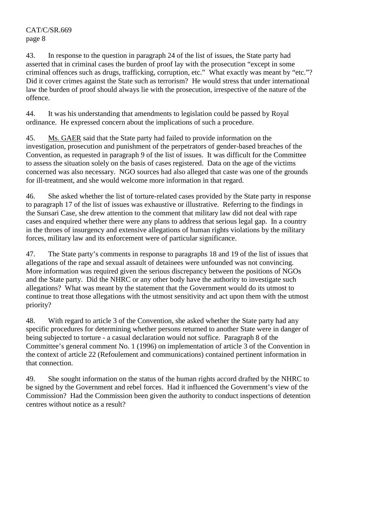43. In response to the question in paragraph 24 of the list of issues, the State party had asserted that in criminal cases the burden of proof lay with the prosecution "except in some criminal offences such as drugs, trafficking, corruption, etc." What exactly was meant by "etc."? Did it cover crimes against the State such as terrorism? He would stress that under international law the burden of proof should always lie with the prosecution, irrespective of the nature of the offence.

44. It was his understanding that amendments to legislation could be passed by Royal ordinance. He expressed concern about the implications of such a procedure.

45. Ms. GAER said that the State party had failed to provide information on the investigation, prosecution and punishment of the perpetrators of gender-based breaches of the Convention, as requested in paragraph 9 of the list of issues. It was difficult for the Committee to assess the situation solely on the basis of cases registered. Data on the age of the victims concerned was also necessary. NGO sources had also alleged that caste was one of the grounds for ill-treatment, and she would welcome more information in that regard.

46. She asked whether the list of torture-related cases provided by the State party in response to paragraph 17 of the list of issues was exhaustive or illustrative. Referring to the findings in the Sunsari Case, she drew attention to the comment that military law did not deal with rape cases and enquired whether there were any plans to address that serious legal gap. In a country in the throes of insurgency and extensive allegations of human rights violations by the military forces, military law and its enforcement were of particular significance.

47. The State party's comments in response to paragraphs 18 and 19 of the list of issues that allegations of the rape and sexual assault of detainees were unfounded was not convincing. More information was required given the serious discrepancy between the positions of NGOs and the State party. Did the NHRC or any other body have the authority to investigate such allegations? What was meant by the statement that the Government would do its utmost to continue to treat those allegations with the utmost sensitivity and act upon them with the utmost priority?

48. With regard to article 3 of the Convention, she asked whether the State party had any specific procedures for determining whether persons returned to another State were in danger of being subjected to torture - a casual declaration would not suffice. Paragraph 8 of the Committee's general comment No. 1 (1996) on implementation of article 3 of the Convention in the context of article 22 (Refoulement and communications) contained pertinent information in that connection.

49. She sought information on the status of the human rights accord drafted by the NHRC to be signed by the Government and rebel forces. Had it influenced the Government's view of the Commission? Had the Commission been given the authority to conduct inspections of detention centres without notice as a result?